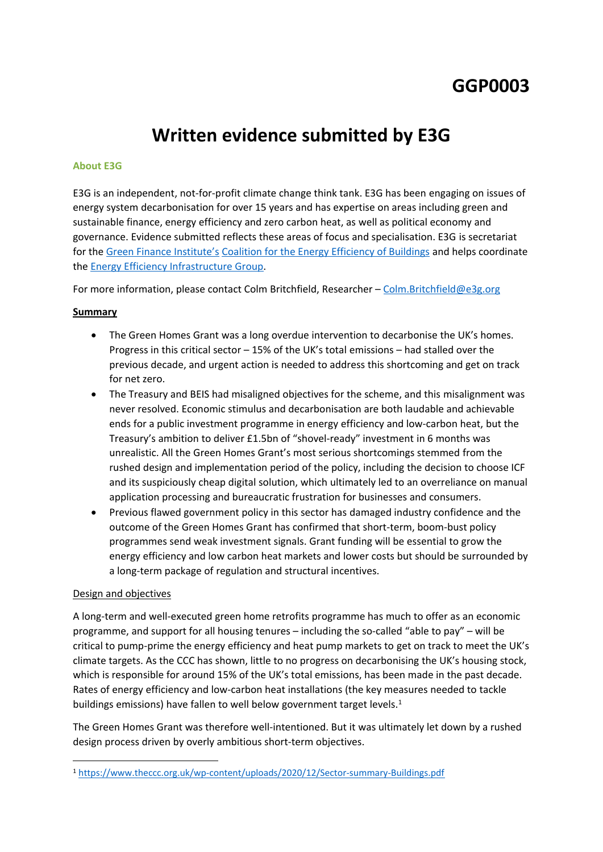# **GGP0003**

# **Written evidence submitted by E3G**

#### **About E3G**

E3G is an independent, not-for-profit climate change think tank. E3G has been engaging on issues of energy system decarbonisation for over 15 years and has expertise on areas including green and sustainable finance, energy efficiency and zero carbon heat, as well as political economy and governance. Evidence submitted reflects these areas of focus and specialisation. E3G is secretariat for the [Green](https://www.greenfinanceinstitute.co.uk/) [Finance](https://www.greenfinanceinstitute.co.uk/) [Institute's](https://www.greenfinanceinstitute.co.uk/) [Coalition](https://www.greenfinanceinstitute.co.uk/ceeb/) [for](https://www.greenfinanceinstitute.co.uk/ceeb/) [the](https://www.greenfinanceinstitute.co.uk/ceeb/) [Energy](https://www.greenfinanceinstitute.co.uk/ceeb/) [Efficiency](https://www.greenfinanceinstitute.co.uk/ceeb/) [of](https://www.greenfinanceinstitute.co.uk/ceeb/) [Buildings](https://www.greenfinanceinstitute.co.uk/ceeb/) and helps coordinate the [Energy](https://www.theeeig.co.uk/about/) [Efficiency](https://www.theeeig.co.uk/about/) [Infrastructure](https://www.theeeig.co.uk/about/) [Group](https://www.theeeig.co.uk/about/).

For more information, please contact Colm Britchfield, Researcher – [Colm.Britchfield@e3g.org](mailto:Colm.Britchfield@e3g.org)

### **Summary**

- The Green Homes Grant was a long overdue intervention to decarbonise the UK's homes. Progress in this critical sector – 15% of the UK's total emissions – had stalled over the previous decade, and urgent action is needed to address this shortcoming and get on track for net zero.
- The Treasury and BEIS had misaligned objectives for the scheme, and this misalignment was never resolved. Economic stimulus and decarbonisation are both laudable and achievable ends for a public investment programme in energy efficiency and low-carbon heat, but the Treasury's ambition to deliver £1.5bn of "shovel-ready" investment in 6 months was unrealistic. All the Green Homes Grant's most serious shortcomings stemmed from the rushed design and implementation period of the policy, including the decision to choose ICF and its suspiciously cheap digital solution, which ultimately led to an overreliance on manual application processing and bureaucratic frustration for businesses and consumers.
- Previous flawed government policy in this sector has damaged industry confidence and the outcome of the Green Homes Grant has confirmed that short-term, boom-bust policy programmes send weak investment signals. Grant funding will be essential to grow the energy efficiency and low carbon heat markets and lower costs but should be surrounded by a long-term package of regulation and structural incentives.

#### Design and objectives

A long-term and well-executed green home retrofits programme has much to offer as an economic programme, and support for all housing tenures – including the so-called "able to pay" – will be critical to pump-prime the energy efficiency and heat pump markets to get on track to meet the UK's climate targets. As the CCC has shown, little to no progress on decarbonising the UK's housing stock, which is responsible for around 15% of the UK's total emissions, has been made in the past decade. Rates of energy efficiency and low-carbon heat installations (the key measures needed to tackle buildings emissions) have fallen to well below government target levels.<sup>1</sup>

The Green Homes Grant was therefore well-intentioned. But it was ultimately let down by a rushed design process driven by overly ambitious short-term objectives.

<sup>1</sup> <https://www.theccc.org.uk/wp-content/uploads/2020/12/Sector-summary-Buildings.pdf>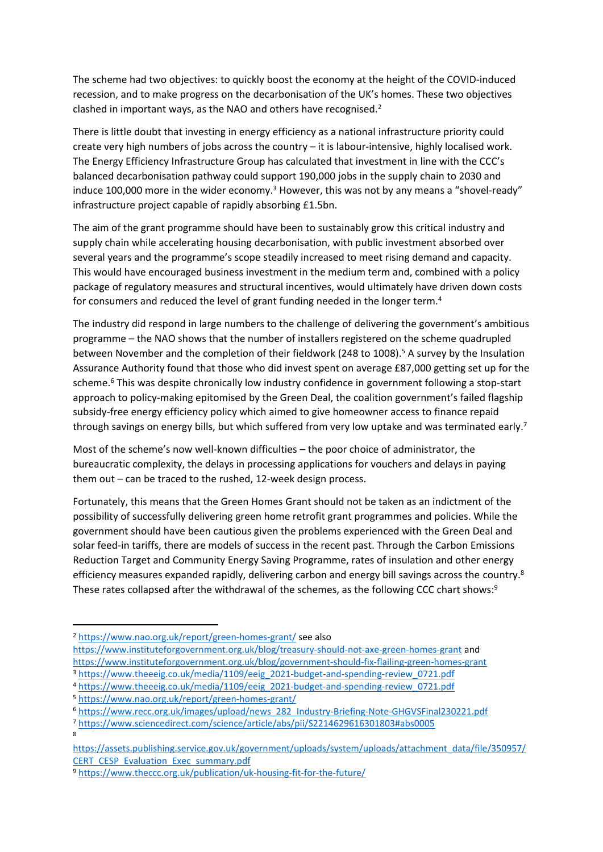The scheme had two objectives: to quickly boost the economy at the height of the COVID-induced recession, and to make progress on the decarbonisation of the UK's homes. These two objectives clashed in important ways, as the NAO and others have recognised.<sup>2</sup>

There is little doubt that investing in energy efficiency as a national infrastructure priority could create very high numbers of jobs across the country – it is labour-intensive, highly localised work. The Energy Efficiency Infrastructure Group has calculated that investment in line with the CCC's balanced decarbonisation pathway could support 190,000 jobs in the supply chain to 2030 and induce 100,000 more in the wider economy.<sup>3</sup> However, this was not by any means a "shovel-ready" infrastructure project capable of rapidly absorbing £1.5bn.

The aim of the grant programme should have been to sustainably grow this critical industry and supply chain while accelerating housing decarbonisation, with public investment absorbed over several years and the programme's scope steadily increased to meet rising demand and capacity. This would have encouraged business investment in the medium term and, combined with a policy package of regulatory measures and structural incentives, would ultimately have driven down costs for consumers and reduced the level of grant funding needed in the longer term.<sup>4</sup>

The industry did respond in large numbers to the challenge of delivering the government's ambitious programme – the NAO shows that the number of installers registered on the scheme quadrupled between November and the completion of their fieldwork (248 to 1008).<sup>5</sup> A survey by the Insulation Assurance Authority found that those who did invest spent on average £87,000 getting set up for the scheme.<sup>6</sup> This was despite chronically low industry confidence in government following a stop-start approach to policy-making epitomised by the Green Deal, the coalition government's failed flagship subsidy-free energy efficiency policy which aimed to give homeowner access to finance repaid through savings on energy bills, but which suffered from very low uptake and was terminated early.<sup>7</sup>

Most of the scheme's now well-known difficulties – the poor choice of administrator, the bureaucratic complexity, the delays in processing applications for vouchers and delays in paying them out – can be traced to the rushed, 12-week design process.

Fortunately, this means that the Green Homes Grant should not be taken as an indictment of the possibility of successfully delivering green home retrofit grant programmes and policies. While the government should have been cautious given the problems experienced with the Green Deal and solar feed-in tariffs, there are models of success in the recent past. Through the Carbon Emissions Reduction Target and Community Energy Saving Programme, rates of insulation and other energy efficiency measures expanded rapidly, delivering carbon and energy bill savings across the country.<sup>8</sup> These rates collapsed after the withdrawal of the schemes, as the following CCC chart shows:<sup>9</sup>

<sup>2</sup> <https://www.nao.org.uk/report/green-homes-grant/> see also

<https://www.instituteforgovernment.org.uk/blog/treasury-should-not-axe-green-homes-grant> and <https://www.instituteforgovernment.org.uk/blog/government-should-fix-flailing-green-homes-grant>

- <sup>3</sup> [https://www.theeeig.co.uk/media/1109/eeig\\_2021-budget-and-spending-review\\_0721.pdf](https://www.theeeig.co.uk/media/1109/eeig_2021-budget-and-spending-review_0721.pdf) <sup>4</sup> [https://www.theeeig.co.uk/media/1109/eeig\\_2021-budget-and-spending-review\\_0721.pdf](https://www.theeeig.co.uk/media/1109/eeig_2021-budget-and-spending-review_0721.pdf)
- <sup>5</sup> <https://www.nao.org.uk/report/green-homes-grant/>
- <sup>6</sup> [https://www.recc.org.uk/images/upload/news\\_282\\_Industry-Briefing-Note-GHGVSFinal230221.pdf](https://www.recc.org.uk/images/upload/news_282_Industry-Briefing-Note-GHGVSFinal230221.pdf)

<sup>7</sup> <https://www.sciencedirect.com/science/article/abs/pii/S2214629616301803#abs0005> 8

[https://assets.publishing.service.gov.uk/government/uploads/system/uploads/attachment\\_data/file/350957/](https://assets.publishing.service.gov.uk/government/uploads/system/uploads/attachment_data/file/350957/CERT_CESP_Evaluation_Exec_summary.pdf) [CERT\\_CESP\\_Evaluation\\_Exec\\_summary.pdf](https://assets.publishing.service.gov.uk/government/uploads/system/uploads/attachment_data/file/350957/CERT_CESP_Evaluation_Exec_summary.pdf)

<sup>9</sup> <https://www.theccc.org.uk/publication/uk-housing-fit-for-the-future/>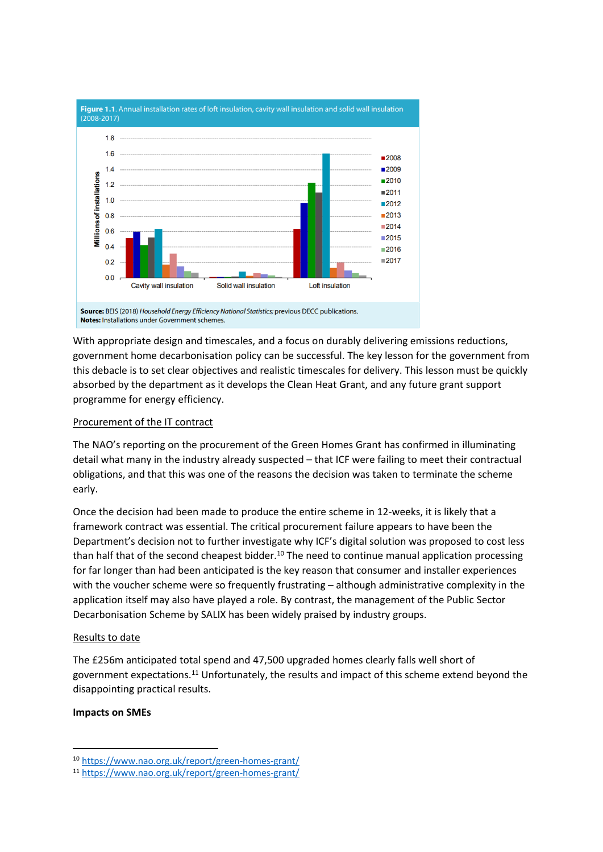

With appropriate design and timescales, and a focus on durably delivering emissions reductions, government home decarbonisation policy can be successful. The key lesson for the government from this debacle is to set clear objectives and realistic timescales for delivery. This lesson must be quickly absorbed by the department as it develops the Clean Heat Grant, and any future grant support programme for energy efficiency.

## Procurement of the IT contract

The NAO's reporting on the procurement of the Green Homes Grant has confirmed in illuminating detail what many in the industry already suspected – that ICF were failing to meet their contractual obligations, and that this was one of the reasons the decision was taken to terminate the scheme early.

Once the decision had been made to produce the entire scheme in 12-weeks, it is likely that a framework contract was essential. The critical procurement failure appears to have been the Department's decision not to further investigate why ICF's digital solution was proposed to cost less than half that of the second cheapest bidder.<sup>10</sup> The need to continue manual application processing for far longer than had been anticipated is the key reason that consumer and installer experiences with the voucher scheme were so frequently frustrating – although administrative complexity in the application itself may also have played a role. By contrast, the management of the Public Sector Decarbonisation Scheme by SALIX has been widely praised by industry groups.

#### Results to date

The £256m anticipated total spend and 47,500 upgraded homes clearly falls well short of government expectations.<sup>11</sup> Unfortunately, the results and impact of this scheme extend beyond the disappointing practical results.

#### **Impacts on SMEs**

<sup>10</sup> <https://www.nao.org.uk/report/green-homes-grant/>

<sup>11</sup> <https://www.nao.org.uk/report/green-homes-grant/>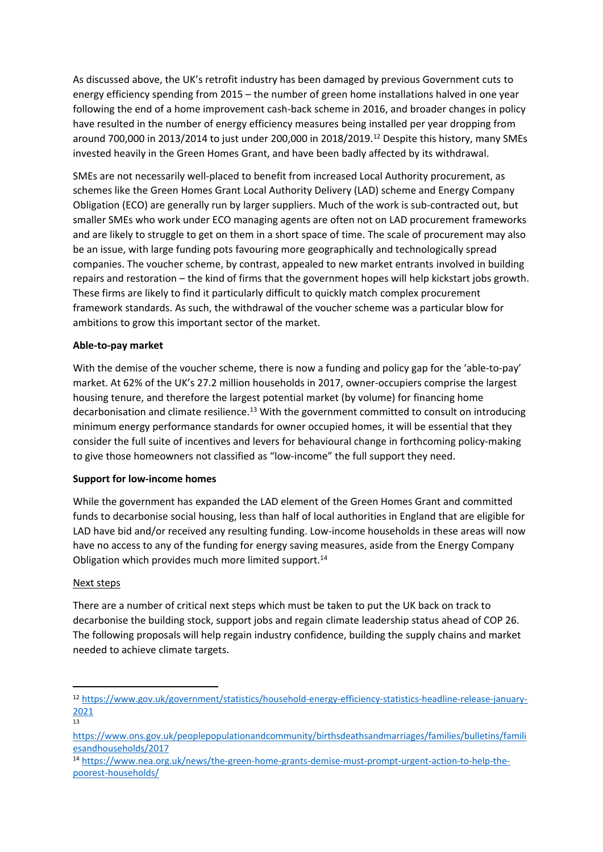As discussed above, the UK's retrofit industry has been damaged by previous Government cuts to energy efficiency spending from 2015 – the number of green home installations halved in one year following the end of a home improvement cash-back scheme in 2016, and broader changes in policy have resulted in the number of energy efficiency measures being installed per year dropping from around 700,000 in 2013/2014 to just under 200,000 in 2018/2019.<sup>12</sup> Despite this history, many SMEs invested heavily in the Green Homes Grant, and have been badly affected by its withdrawal.

SMEs are not necessarily well-placed to benefit from increased Local Authority procurement, as schemes like the Green Homes Grant Local Authority Delivery (LAD) scheme and Energy Company Obligation (ECO) are generally run by larger suppliers. Much of the work is sub-contracted out, but smaller SMEs who work under ECO managing agents are often not on LAD procurement frameworks and are likely to struggle to get on them in a short space of time. The scale of procurement may also be an issue, with large funding pots favouring more geographically and technologically spread companies. The voucher scheme, by contrast, appealed to new market entrants involved in building repairs and restoration – the kind of firms that the government hopes will help kickstart jobs growth. These firms are likely to find it particularly difficult to quickly match complex procurement framework standards. As such, the withdrawal of the voucher scheme was a particular blow for ambitions to grow this important sector of the market.

#### **Able-to-pay market**

With the demise of the voucher scheme, there is now a funding and policy gap for the 'able-to-pay' market. At 62% of the UK's 27.2 million households in 2017, owner-occupiers comprise the largest housing tenure, and therefore the largest potential market (by volume) for financing home decarbonisation and climate resilience.<sup>13</sup> With the government committed to consult on introducing minimum energy performance standards for owner occupied homes, it will be essential that they consider the full suite of incentives and levers for behavioural change in forthcoming policy-making to give those homeowners not classified as "low-income" the full support they need.

#### **Support for low-income homes**

While the government has expanded the LAD element of the Green Homes Grant and committed funds to decarbonise social housing, less than half of local authorities in England that are eligible for LAD have bid and/or received any resulting funding. Low-income households in these areas will now have no access to any of the funding for energy saving measures, aside from the Energy Company Obligation which provides much more limited support.<sup>14</sup>

#### Next steps

There are a number of critical next steps which must be taken to put the UK back on track to decarbonise the building stock, support jobs and regain climate leadership status ahead of COP 26. The following proposals will help regain industry confidence, building the supply chains and market needed to achieve climate targets.

<sup>12</sup> [https://www.gov.uk/government/statistics/household-energy-efficiency-statistics-headline-release-january-](https://www.gov.uk/government/statistics/household-energy-efficiency-statistics-headline-release-january-2021)[2021](https://www.gov.uk/government/statistics/household-energy-efficiency-statistics-headline-release-january-2021)

<sup>13</sup>

[https://www.ons.gov.uk/peoplepopulationandcommunity/birthsdeathsandmarriages/families/bulletins/famili](https://www.ons.gov.uk/peoplepopulationandcommunity/birthsdeathsandmarriages/families/bulletins/familiesandhouseholds/2017) [esandhouseholds/2017](https://www.ons.gov.uk/peoplepopulationandcommunity/birthsdeathsandmarriages/families/bulletins/familiesandhouseholds/2017)

<sup>14</sup> [https://www.nea.org.uk/news/the-green-home-grants-demise-must-prompt-urgent-action-to-help-the](https://www.nea.org.uk/news/the-green-home-grants-demise-must-prompt-urgent-action-to-help-the-poorest-households/)[poorest-households/](https://www.nea.org.uk/news/the-green-home-grants-demise-must-prompt-urgent-action-to-help-the-poorest-households/)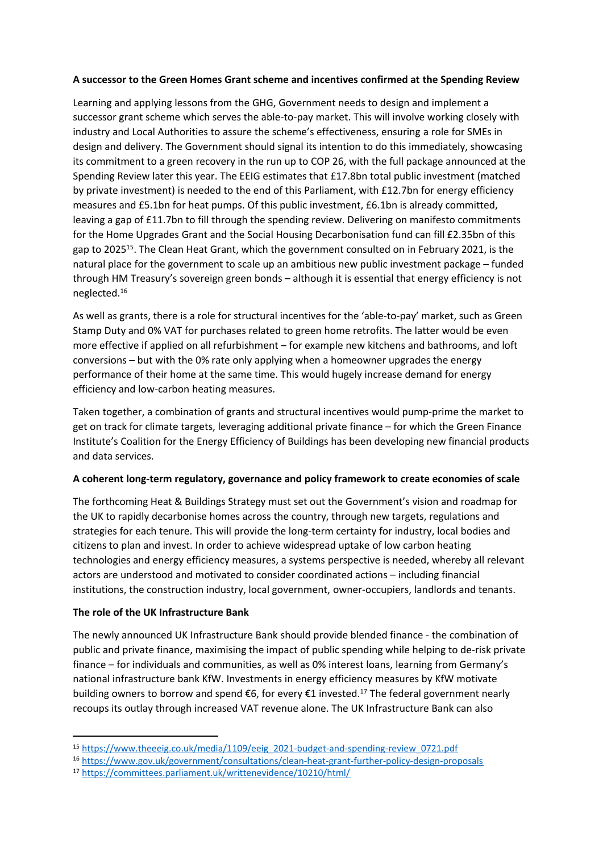### **A successor to the Green Homes Grant scheme and incentives confirmed at the Spending Review**

Learning and applying lessons from the GHG, Government needs to design and implement a successor grant scheme which serves the able-to-pay market. This will involve working closely with industry and Local Authorities to assure the scheme's effectiveness, ensuring a role for SMEs in design and delivery. The Government should signal its intention to do this immediately, showcasing its commitment to a green recovery in the run up to COP 26, with the full package announced at the Spending Review later this year. The EEIG estimates that £17.8bn total public investment (matched by private investment) is needed to the end of this Parliament, with £12.7bn for energy efficiency measures and £5.1bn for heat pumps. Of this public investment, £6.1bn is already committed, leaving a gap of £11.7bn to fill through the spending review. Delivering on manifesto commitments for the Home Upgrades Grant and the Social Housing Decarbonisation fund can fill £2.35bn of this gap to 2025<sup>15</sup>. The Clean Heat Grant, which the government consulted on in February 2021, is the natural place for the government to scale up an ambitious new public investment package – funded through HM Treasury's sovereign green bonds – although it is essential that energy efficiency is not neglected.<sup>16</sup>

As well as grants, there is a role for structural incentives for the 'able-to-pay' market, such as Green Stamp Duty and 0% VAT for purchases related to green home retrofits. The latter would be even more effective if applied on all refurbishment – for example new kitchens and bathrooms, and loft conversions – but with the 0% rate only applying when a homeowner upgrades the energy performance of their home at the same time. This would hugely increase demand for energy efficiency and low-carbon heating measures.

Taken together, a combination of grants and structural incentives would pump-prime the market to get on track for climate targets, leveraging additional private finance – for which the Green Finance Institute's Coalition for the Energy Efficiency of Buildings has been developing new financial products and data services.

# **A coherent long-term regulatory, governance and policy framework to create economies of scale**

The forthcoming Heat & Buildings Strategy must set out the Government's vision and roadmap for the UK to rapidly decarbonise homes across the country, through new targets, regulations and strategies for each tenure. This will provide the long-term certainty for industry, local bodies and citizens to plan and invest. In order to achieve widespread uptake of low carbon heating technologies and energy efficiency measures, a systems perspective is needed, whereby all relevant actors are understood and motivated to consider coordinated actions – including financial institutions, the construction industry, local government, owner-occupiers, landlords and tenants.

# **The role of the UK Infrastructure Bank**

The newly announced UK Infrastructure Bank should provide blended finance - the combination of public and private finance, maximising the impact of public spending while helping to de-risk private finance – for individuals and communities, as well as 0% interest loans, learning from Germany's national infrastructure bank KfW. Investments in energy efficiency measures by KfW motivate building owners to borrow and spend  $\epsilon$ 6, for every  $\epsilon$ 1 invested.<sup>17</sup> The federal government nearly recoups its outlay through increased VAT revenue alone. The UK Infrastructure Bank can also

<sup>15</sup> [https://www.theeeig.co.uk/media/1109/eeig\\_2021-budget-and-spending-review\\_0721.pdf](https://www.theeeig.co.uk/media/1109/eeig_2021-budget-and-spending-review_0721.pdf)

<sup>16</sup> <https://www.gov.uk/government/consultations/clean-heat-grant-further-policy-design-proposals>

<sup>17</sup> <https://committees.parliament.uk/writtenevidence/10210/html/>